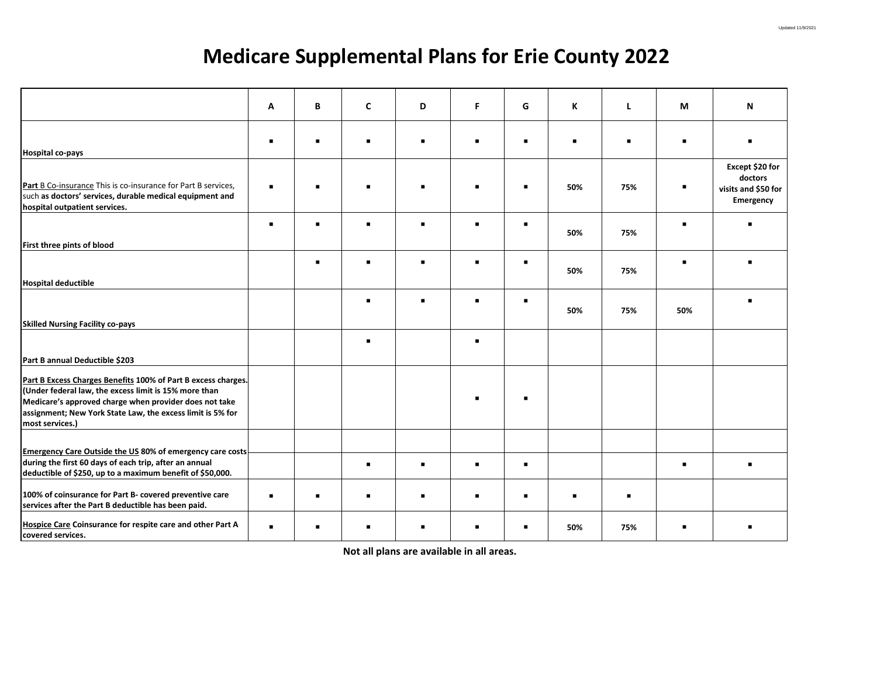## **Medicare Supplemental Plans for Erie County 2022**

|                                                                                                                                                                                                                                                                   | A              | B | C | D | F              | G | K   | L              | M   | N                                                              |
|-------------------------------------------------------------------------------------------------------------------------------------------------------------------------------------------------------------------------------------------------------------------|----------------|---|---|---|----------------|---|-----|----------------|-----|----------------------------------------------------------------|
| <b>Hospital co-pays</b>                                                                                                                                                                                                                                           | $\blacksquare$ |   |   |   | $\blacksquare$ | п |     | п              | п   |                                                                |
| Part B Co-insurance This is co-insurance for Part B services,<br>such as doctors' services, durable medical equipment and<br>hospital outpatient services.                                                                                                        | $\blacksquare$ |   |   |   |                | ٠ | 50% | 75%            |     | Except \$20 for<br>doctors<br>visits and \$50 for<br>Emergency |
| First three pints of blood                                                                                                                                                                                                                                        | $\blacksquare$ | ٠ |   |   | $\blacksquare$ | ٠ | 50% | 75%            | п   |                                                                |
| <b>Hospital deductible</b>                                                                                                                                                                                                                                        |                | ٠ |   | п | $\blacksquare$ | ٠ | 50% | 75%            | п   |                                                                |
| <b>Skilled Nursing Facility co-pays</b>                                                                                                                                                                                                                           |                |   |   |   | $\blacksquare$ | п | 50% | 75%            | 50% |                                                                |
| Part B annual Deductible \$203                                                                                                                                                                                                                                    |                |   |   |   | $\blacksquare$ |   |     |                |     |                                                                |
| Part B Excess Charges Benefits 100% of Part B excess charges.<br>(Under federal law, the excess limit is 15% more than<br>Medicare's approved charge when provider does not take<br>assignment; New York State Law, the excess limit is 5% for<br>most services.) |                |   |   |   |                |   |     |                |     |                                                                |
| <b>Emergency Care Outside the US 80% of emergency care costs</b><br>during the first 60 days of each trip, after an annual<br>deductible of \$250, up to a maximum benefit of \$50,000.                                                                           |                |   |   |   | $\blacksquare$ | ٠ |     |                | п   |                                                                |
| 100% of coinsurance for Part B- covered preventive care<br>services after the Part B deductible has been paid.                                                                                                                                                    | $\blacksquare$ |   |   |   | $\blacksquare$ | ٠ |     | $\blacksquare$ |     |                                                                |
| Hospice Care Coinsurance for respite care and other Part A<br>covered services.                                                                                                                                                                                   | $\blacksquare$ |   |   |   |                |   | 50% | 75%            |     |                                                                |

**Not all plans are available in all areas.**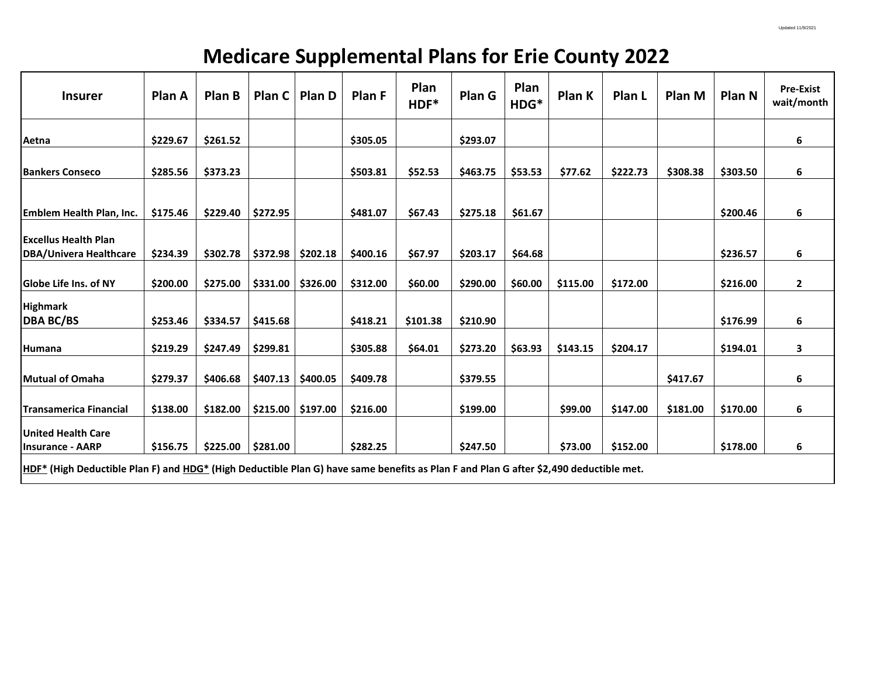## **Medicare Supplemental Plans for Erie County 2022**

| <b>Insurer</b>                                                                                                                        | Plan A   | <b>Plan B</b> | Plan C   | Plan D   | Plan F   | Plan<br>HDF* | Plan G   | Plan<br>HDG* | Plan K   | Plan L   | Plan M   | Plan N   | <b>Pre-Exist</b><br>wait/month |
|---------------------------------------------------------------------------------------------------------------------------------------|----------|---------------|----------|----------|----------|--------------|----------|--------------|----------|----------|----------|----------|--------------------------------|
| Aetna                                                                                                                                 | \$229.67 | \$261.52      |          |          | \$305.05 |              | \$293.07 |              |          |          |          |          | 6                              |
| <b>Bankers Conseco</b>                                                                                                                | \$285.56 | \$373.23      |          |          | \$503.81 | \$52.53      | \$463.75 | \$53.53      | \$77.62  | \$222.73 | \$308.38 | \$303.50 | 6                              |
| <b>Emblem Health Plan, Inc.</b>                                                                                                       | \$175.46 | \$229.40      | \$272.95 |          | \$481.07 | \$67.43      | \$275.18 | \$61.67      |          |          |          | \$200.46 | 6                              |
| <b>Excellus Health Plan</b><br>DBA/Univera Healthcare                                                                                 | \$234.39 | \$302.78      | \$372.98 | \$202.18 | \$400.16 | \$67.97      | \$203.17 | \$64.68      |          |          |          | \$236.57 | 6                              |
| lGlobe Life Ins. of NY                                                                                                                | \$200.00 | \$275.00      | \$331.00 | \$326.00 | \$312.00 | \$60.00      | \$290.00 | \$60.00      | \$115.00 | \$172.00 |          | \$216.00 | $\overline{2}$                 |
| <b>Highmark</b><br><b>DBA BC/BS</b>                                                                                                   | \$253.46 | \$334.57      | \$415.68 |          | \$418.21 | \$101.38     | \$210.90 |              |          |          |          | \$176.99 | 6                              |
| Humana                                                                                                                                | \$219.29 | \$247.49      | \$299.81 |          | \$305.88 | \$64.01      | \$273.20 | \$63.93      | \$143.15 | \$204.17 |          | \$194.01 | 3                              |
| Mutual of Omaha                                                                                                                       | \$279.37 | \$406.68      | \$407.13 | \$400.05 | \$409.78 |              | \$379.55 |              |          |          | \$417.67 |          | 6                              |
| <b>ITransamerica Financial</b>                                                                                                        | \$138.00 | \$182.00      | \$215.00 | \$197.00 | \$216.00 |              | \$199.00 |              | \$99.00  | \$147.00 | \$181.00 | \$170.00 | 6                              |
| United Health Care<br><b>Insurance - AARP</b>                                                                                         | \$156.75 | \$225.00      | \$281.00 |          | \$282.25 |              | \$247.50 |              | \$73.00  | \$152.00 |          | \$178.00 | 6                              |
| HDF* (High Deductible Plan F) and HDG* (High Deductible Plan G) have same benefits as Plan F and Plan G after \$2,490 deductible met. |          |               |          |          |          |              |          |              |          |          |          |          |                                |